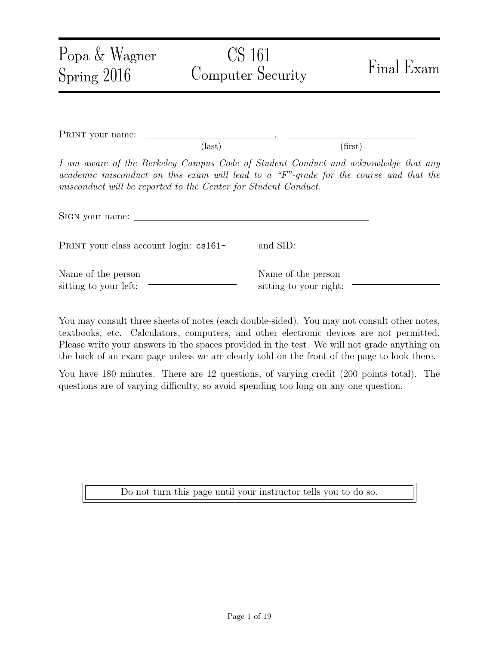| Popa & Wagner<br>Spring 2016                                                                                                                                                                                                                  | CS 161<br>Computer Security                  | Final Exam |
|-----------------------------------------------------------------------------------------------------------------------------------------------------------------------------------------------------------------------------------------------|----------------------------------------------|------------|
| PRINT your name:                                                                                                                                                                                                                              | $\text{(last)}$                              | (first)    |
| I am aware of the Berkeley Campus Code of Student Conduct and acknowledge that any<br>academic misconduct on this exam will lead to a "F"-grade for the course and that the<br>misconduct will be reported to the Center for Student Conduct. |                                              |            |
|                                                                                                                                                                                                                                               |                                              |            |
| PRINT your class account login: cs161-<br>and SID:                                                                                                                                                                                            |                                              |            |
| Name of the person<br>sitting to your left:                                                                                                                                                                                                   | Name of the person<br>sitting to your right: |            |

You may consult three sheets of notes (each double-sided). You may not consult other notes, textbooks, etc. Calculators, computers, and other electronic devices are not permitted. Please write your answers in the spaces provided in the test. We will not grade anything on the back of an exam page unless we are clearly told on the front of the page to look there.

You have 180 minutes. There are 12 questions, of varying credit (200 points total). The questions are of varying difficulty, so avoid spending too long on any one question.

Do not turn this page until your instructor tells you to do so.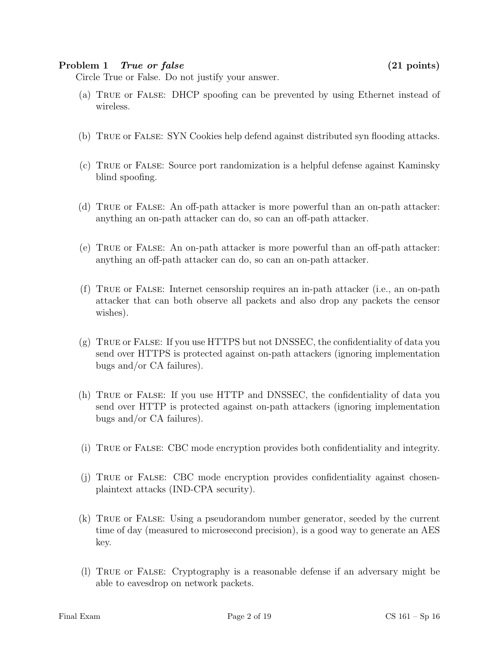### Problem 1 True or false (21 points)

Circle True or False. Do not justify your answer.

- (a) True or False: DHCP spoofing can be prevented by using Ethernet instead of wireless.
- (b) True or False: SYN Cookies help defend against distributed syn flooding attacks.
- (c) True or False: Source port randomization is a helpful defense against Kaminsky blind spoofing.
- (d) True or False: An off-path attacker is more powerful than an on-path attacker: anything an on-path attacker can do, so can an off-path attacker.
- (e) True or False: An on-path attacker is more powerful than an off-path attacker: anything an off-path attacker can do, so can an on-path attacker.
- (f) True or False: Internet censorship requires an in-path attacker (i.e., an on-path attacker that can both observe all packets and also drop any packets the censor wishes).
- (g) True or False: If you use HTTPS but not DNSSEC, the confidentiality of data you send over HTTPS is protected against on-path attackers (ignoring implementation bugs and/or CA failures).
- (h) True or False: If you use HTTP and DNSSEC, the confidentiality of data you send over HTTP is protected against on-path attackers (ignoring implementation bugs and/or CA failures).
- (i) True or False: CBC mode encryption provides both confidentiality and integrity.
- (j) True or False: CBC mode encryption provides confidentiality against chosenplaintext attacks (IND-CPA security).
- (k) True or False: Using a pseudorandom number generator, seeded by the current time of day (measured to microsecond precision), is a good way to generate an AES key.
- (l) True or False: Cryptography is a reasonable defense if an adversary might be able to eavesdrop on network packets.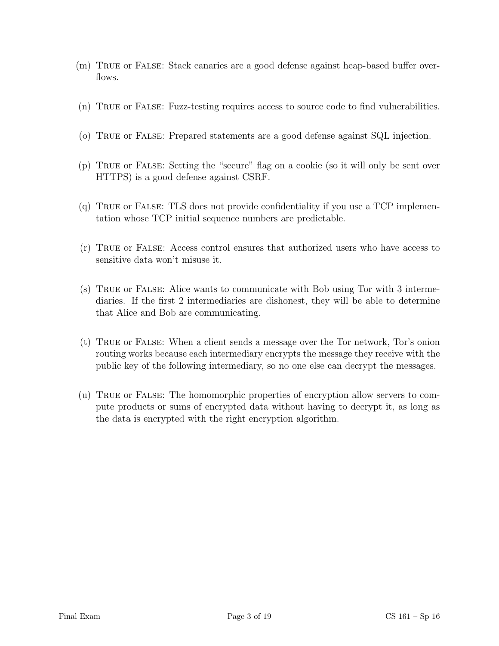- (m) True or False: Stack canaries are a good defense against heap-based buffer overflows.
- (n) True or False: Fuzz-testing requires access to source code to find vulnerabilities.
- (o) True or False: Prepared statements are a good defense against SQL injection.
- (p) True or False: Setting the "secure" flag on a cookie (so it will only be sent over HTTPS) is a good defense against CSRF.
- (q) True or False: TLS does not provide confidentiality if you use a TCP implementation whose TCP initial sequence numbers are predictable.
- (r) True or False: Access control ensures that authorized users who have access to sensitive data won't misuse it.
- (s) True or False: Alice wants to communicate with Bob using Tor with 3 intermediaries. If the first 2 intermediaries are dishonest, they will be able to determine that Alice and Bob are communicating.
- (t) True or False: When a client sends a message over the Tor network, Tor's onion routing works because each intermediary encrypts the message they receive with the public key of the following intermediary, so no one else can decrypt the messages.
- (u) True or False: The homomorphic properties of encryption allow servers to compute products or sums of encrypted data without having to decrypt it, as long as the data is encrypted with the right encryption algorithm.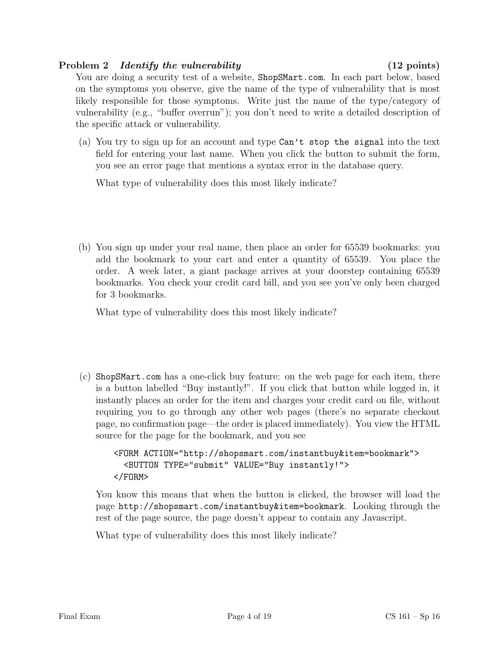# Problem 2 *Identify the vulnerability* (12 points)

You are doing a security test of a website, ShopSMart.com. In each part below, based on the symptoms you observe, give the name of the type of vulnerability that is most likely responsible for those symptoms. Write just the name of the type/category of vulnerability (e.g., "buffer overrun"); you don't need to write a detailed description of the specific attack or vulnerability.

(a) You try to sign up for an account and type Can't stop the signal into the text field for entering your last name. When you click the button to submit the form, you see an error page that mentions a syntax error in the database query.

What type of vulnerability does this most likely indicate?

(b) You sign up under your real name, then place an order for 65539 bookmarks: you add the bookmark to your cart and enter a quantity of 65539. You place the order. A week later, a giant package arrives at your doorstep containing 65539 bookmarks. You check your credit card bill, and you see you've only been charged for 3 bookmarks.

What type of vulnerability does this most likely indicate?

(c) ShopSMart.com has a one-click buy feature: on the web page for each item, there is a button labelled "Buy instantly!". If you click that button while logged in, it instantly places an order for the item and charges your credit card on file, without requiring you to go through any other web pages (there's no separate checkout page, no confirmation page—the order is placed immediately). You view the HTML source for the page for the bookmark, and you see

```
<FORM ACTION="http://shopsmart.com/instantbuy&item=bookmark">
  <BUTTON TYPE="submit" VALUE="Buy instantly!">
</FORM>
```
You know this means that when the button is clicked, the browser will load the page http://shopsmart.com/instantbuy&item=bookmark. Looking through the rest of the page source, the page doesn't appear to contain any Javascript.

What type of vulnerability does this most likely indicate?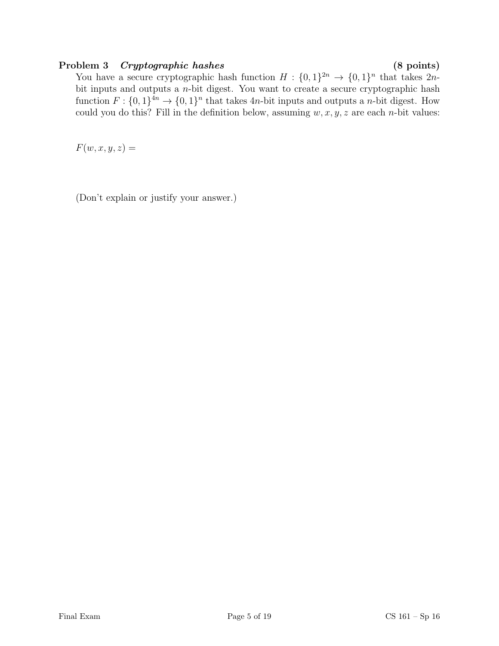## Problem 3 Cryptographic hashes (8 points)

You have a secure cryptographic hash function  $H: \{0,1\}^{2n} \to \{0,1\}^n$  that takes  $2n$ bit inputs and outputs a n-bit digest. You want to create a secure cryptographic hash function  $F: \{0,1\}^{4n} \to \{0,1\}^n$  that takes  $4n$ -bit inputs and outputs a *n*-bit digest. How could you do this? Fill in the definition below, assuming  $w, x, y, z$  are each *n*-bit values:

 $F(w, x, y, z) =$ 

(Don't explain or justify your answer.)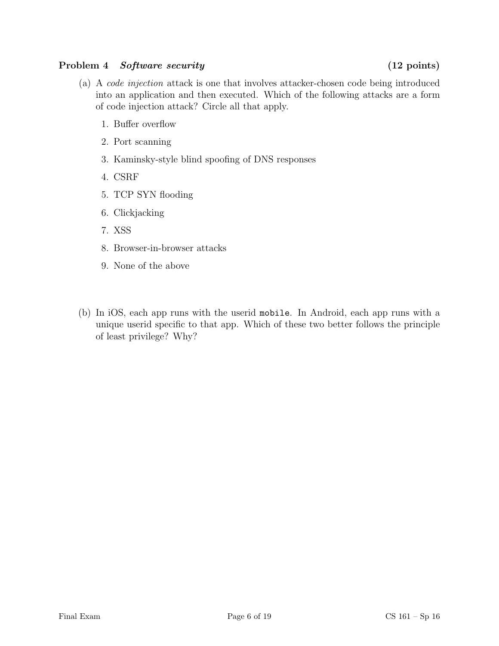## Problem 4 Software security (12 points)

- of code injection attack? Circle all that apply. 1. Buffer overflow
	- 2. Port scanning
	- 3. Kaminsky-style blind spoofing of DNS responses
	- 4. CSRF
	- 5. TCP SYN flooding
	- 6. Clickjacking
	- 7. XSS
	- 8. Browser-in-browser attacks
	- 9. None of the above
- (b) In iOS, each app runs with the userid mobile. In Android, each app runs with a unique userid specific to that app. Which of these two better follows the principle of least privilege? Why?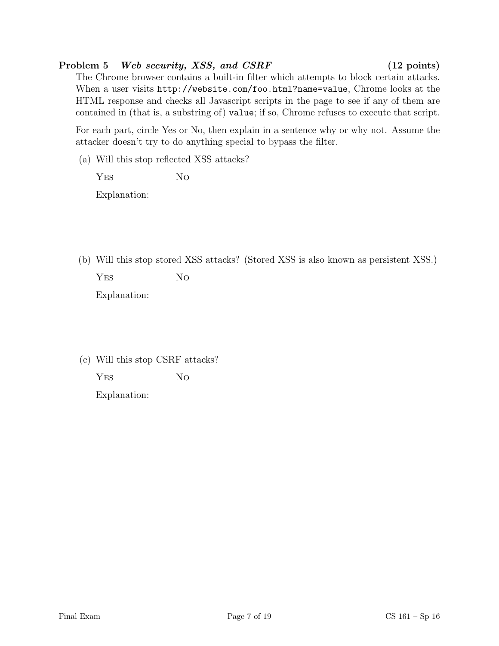# Problem 5 Web security, XSS, and CSRF (12 points)

The Chrome browser contains a built-in filter which attempts to block certain attacks. When a user visits http://website.com/foo.html?name=value, Chrome looks at the HTML response and checks all Javascript scripts in the page to see if any of them are contained in (that is, a substring of) value; if so, Chrome refuses to execute that script.

For each part, circle Yes or No, then explain in a sentence why or why not. Assume the attacker doesn't try to do anything special to bypass the filter.

(a) Will this stop reflected XSS attacks?

YES NO Explanation:

(b) Will this stop stored XSS attacks? (Stored XSS is also known as persistent XSS.)

YES No Explanation:

(c) Will this stop CSRF attacks?

YES NO

Explanation: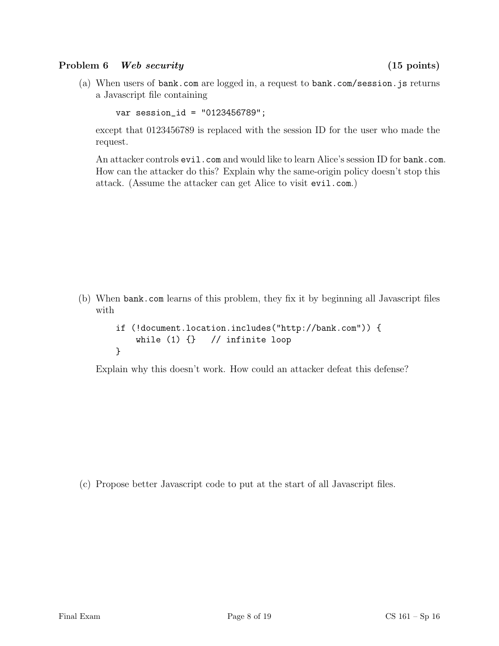### Problem 6 Web security (15 points)

(a) When users of bank.com are logged in, a request to bank.com/session.js returns a Javascript file containing

```
var session_id = "0123456789";
```
except that 0123456789 is replaced with the session ID for the user who made the request.

An attacker controls evil.com and would like to learn Alice's session ID for bank.com. How can the attacker do this? Explain why the same-origin policy doesn't stop this attack. (Assume the attacker can get Alice to visit evil.com.)

(b) When bank.com learns of this problem, they fix it by beginning all Javascript files with

```
if (!document.location.includes("http://bank.com")) {
    while (1) \{\} // infinite loop
}
```
Explain why this doesn't work. How could an attacker defeat this defense?

(c) Propose better Javascript code to put at the start of all Javascript files.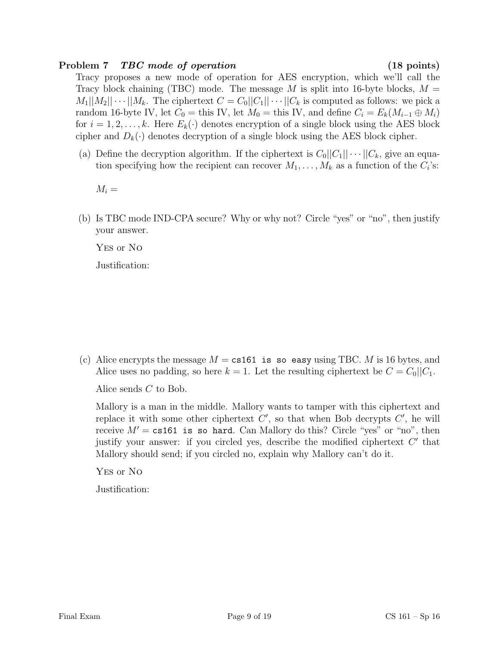### Problem 7 *TBC mode of operation* (18 points)

Tracy proposes a new mode of operation for AES encryption, which we'll call the Tracy block chaining (TBC) mode. The message M is split into 16-byte blocks,  $M =$  $M_1||M_2||\cdots||M_k$ . The ciphertext  $C=C_0||C_1||\cdots||C_k$  is computed as follows: we pick a random 16-byte IV, let  $C_0 =$  this IV, let  $M_0 =$  this IV, and define  $C_i = E_k(M_{i-1} \oplus M_i)$ for  $i = 1, 2, ..., k$ . Here  $E_k(\cdot)$  denotes encryption of a single block using the AES block cipher and  $D_k(\cdot)$  denotes decryption of a single block using the AES block cipher.

(a) Define the decryption algorithm. If the ciphertext is  $C_0||C_1|| \cdots ||C_k$ , give an equation specifying how the recipient can recover  $M_1, \ldots, M_k$  as a function of the  $C_i$ 's:

 $M_i =$ 

(b) Is TBC mode IND-CPA secure? Why or why not? Circle "yes" or "no", then justify your answer.

Yes or No

Justification:

(c) Alice encrypts the message  $M = \text{cs161}$  is so easy using TBC. M is 16 bytes, and Alice uses no padding, so here  $k = 1$ . Let the resulting ciphertext be  $C = C_0||C_1$ .

Alice sends C to Bob.

Mallory is a man in the middle. Mallory wants to tamper with this ciphertext and replace it with some other ciphertext  $C'$ , so that when Bob decrypts  $C'$ , he will receive  $M' = \text{cs161}$  is so hard. Can Mallory do this? Circle "yes" or "no", then justify your answer: if you circled yes, describe the modified ciphertext  $C'$  that Mallory should send; if you circled no, explain why Mallory can't do it.

Yes or No

Justification: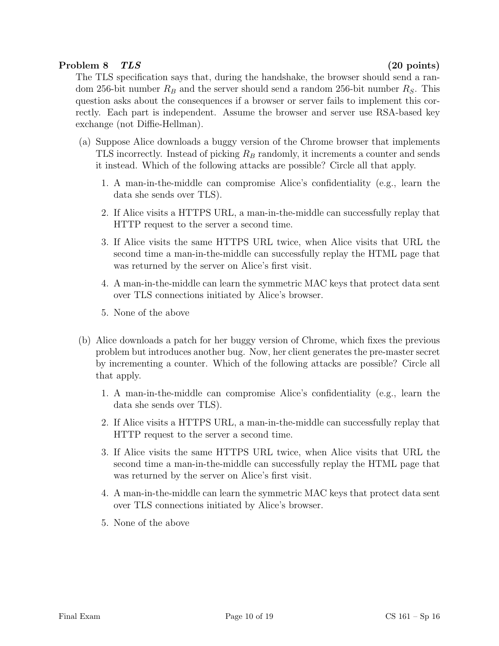# Problem 8 TLS (20 points)

The TLS specification says that, during the handshake, the browser should send a random 256-bit number  $R_B$  and the server should send a random 256-bit number  $R_S$ . This question asks about the consequences if a browser or server fails to implement this correctly. Each part is independent. Assume the browser and server use RSA-based key exchange (not Diffie-Hellman).

- (a) Suppose Alice downloads a buggy version of the Chrome browser that implements TLS incorrectly. Instead of picking  $R_B$  randomly, it increments a counter and sends it instead. Which of the following attacks are possible? Circle all that apply.
	- 1. A man-in-the-middle can compromise Alice's confidentiality (e.g., learn the data she sends over TLS).
	- 2. If Alice visits a HTTPS URL, a man-in-the-middle can successfully replay that HTTP request to the server a second time.
	- 3. If Alice visits the same HTTPS URL twice, when Alice visits that URL the second time a man-in-the-middle can successfully replay the HTML page that was returned by the server on Alice's first visit.
	- 4. A man-in-the-middle can learn the symmetric MAC keys that protect data sent over TLS connections initiated by Alice's browser.
	- 5. None of the above
- (b) Alice downloads a patch for her buggy version of Chrome, which fixes the previous problem but introduces another bug. Now, her client generates the pre-master secret by incrementing a counter. Which of the following attacks are possible? Circle all that apply.
	- 1. A man-in-the-middle can compromise Alice's confidentiality (e.g., learn the data she sends over TLS).
	- 2. If Alice visits a HTTPS URL, a man-in-the-middle can successfully replay that HTTP request to the server a second time.
	- 3. If Alice visits the same HTTPS URL twice, when Alice visits that URL the second time a man-in-the-middle can successfully replay the HTML page that was returned by the server on Alice's first visit.
	- 4. A man-in-the-middle can learn the symmetric MAC keys that protect data sent over TLS connections initiated by Alice's browser.
	- 5. None of the above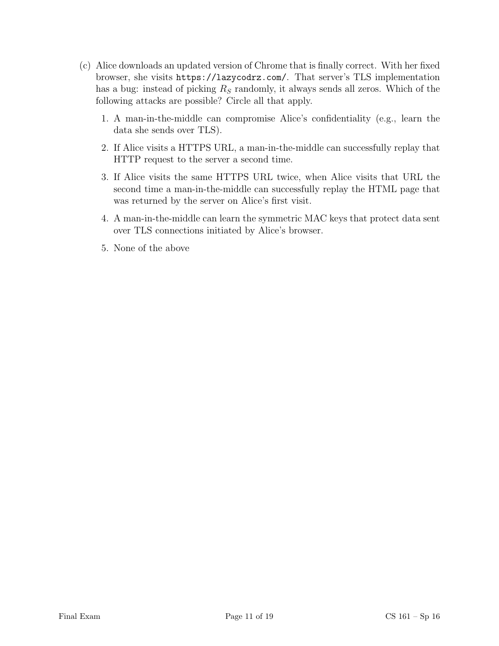- (c) Alice downloads an updated version of Chrome that is finally correct. With her fixed browser, she visits https://lazycodrz.com/. That server's TLS implementation has a bug: instead of picking  $R<sub>S</sub>$  randomly, it always sends all zeros. Which of the following attacks are possible? Circle all that apply.
	- 1. A man-in-the-middle can compromise Alice's confidentiality (e.g., learn the data she sends over TLS).
	- 2. If Alice visits a HTTPS URL, a man-in-the-middle can successfully replay that HTTP request to the server a second time.
	- 3. If Alice visits the same HTTPS URL twice, when Alice visits that URL the second time a man-in-the-middle can successfully replay the HTML page that was returned by the server on Alice's first visit.
	- 4. A man-in-the-middle can learn the symmetric MAC keys that protect data sent over TLS connections initiated by Alice's browser.
	- 5. None of the above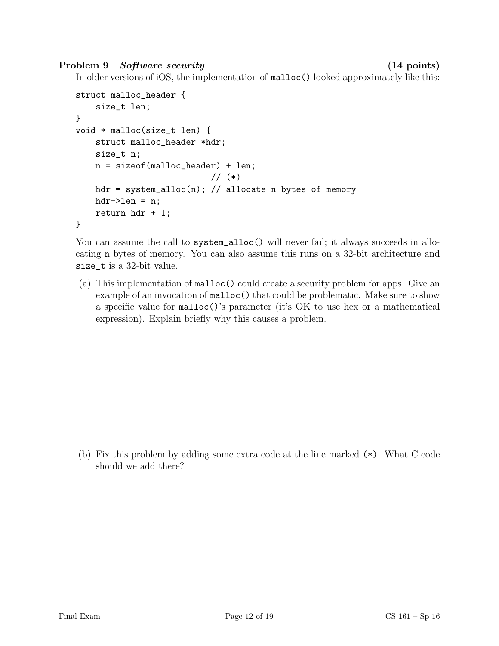Problem 9 Software security (14 points)

In older versions of iOS, the implementation of  $\text{malloc}$  () looked approximately like this:

```
struct malloc_header {
    size_t len;
}
void * malloc(size_t len) {
    struct malloc_header *hdr;
    size_t n;
    n = sizeof(malloc_header) + len;
                            // (*)
    hdr = system_alloc(n); // allocate n bytes of memory
    hdr-\geq len = n;return hdr + 1;
}
```
You can assume the call to system\_alloc() will never fail; it always succeeds in allocating n bytes of memory. You can also assume this runs on a 32-bit architecture and size\_t is a 32-bit value.

(a) This implementation of malloc() could create a security problem for apps. Give an example of an invocation of malloc() that could be problematic. Make sure to show a specific value for malloc()'s parameter (it's OK to use hex or a mathematical expression). Explain briefly why this causes a problem.

(b) Fix this problem by adding some extra code at the line marked (\*). What C code should we add there?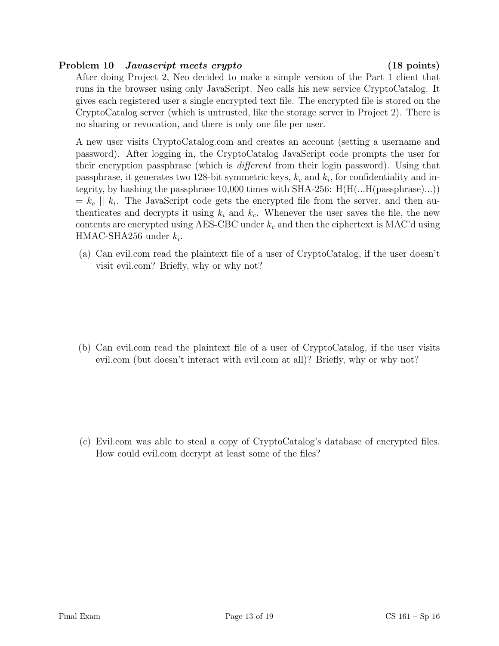## Problem 10 *Javascript meets crypto* (18 points)

After doing Project 2, Neo decided to make a simple version of the Part 1 client that runs in the browser using only JavaScript. Neo calls his new service CryptoCatalog. It gives each registered user a single encrypted text file. The encrypted file is stored on the CryptoCatalog server (which is untrusted, like the storage server in Project 2). There is no sharing or revocation, and there is only one file per user.

A new user visits CryptoCatalog.com and creates an account (setting a username and password). After logging in, the CryptoCatalog JavaScript code prompts the user for their encryption passphrase (which is different from their login password). Using that passphrase, it generates two 128-bit symmetric keys,  $k_c$  and  $k_i$ , for confidentiality and integrity, by hashing the passphrase 10,000 times with SHA-256:  $H(H(...H(passphrase)...))$  $= k_c || k_i$ . The JavaScript code gets the encrypted file from the server, and then authenticates and decrypts it using  $k_i$  and  $k_c$ . Whenever the user saves the file, the new contents are encrypted using AES-CBC under  $k_c$  and then the ciphertext is MAC'd using  $HMAC-SHA256$  under  $k_i$ .

(a) Can evil.com read the plaintext file of a user of CryptoCatalog, if the user doesn't visit evil.com? Briefly, why or why not?

(b) Can evil.com read the plaintext file of a user of CryptoCatalog, if the user visits evil.com (but doesn't interact with evil.com at all)? Briefly, why or why not?

(c) Evil.com was able to steal a copy of CryptoCatalog's database of encrypted files. How could evil.com decrypt at least some of the files?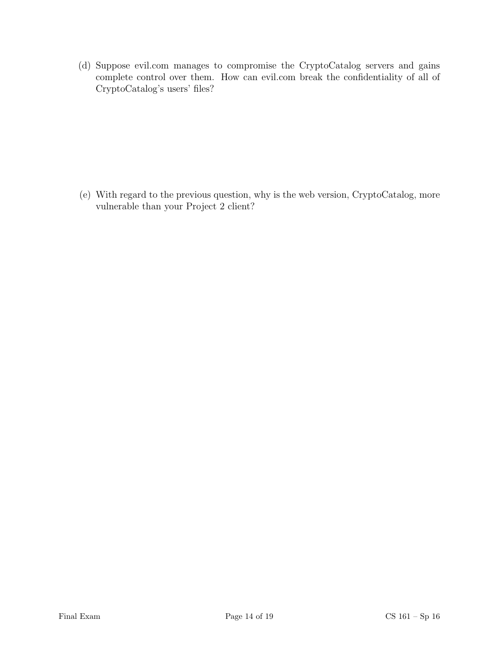(d) Suppose evil.com manages to compromise the CryptoCatalog servers and gains complete control over them. How can evil.com break the confidentiality of all of CryptoCatalog's users' files?

(e) With regard to the previous question, why is the web version, CryptoCatalog, more vulnerable than your Project 2 client?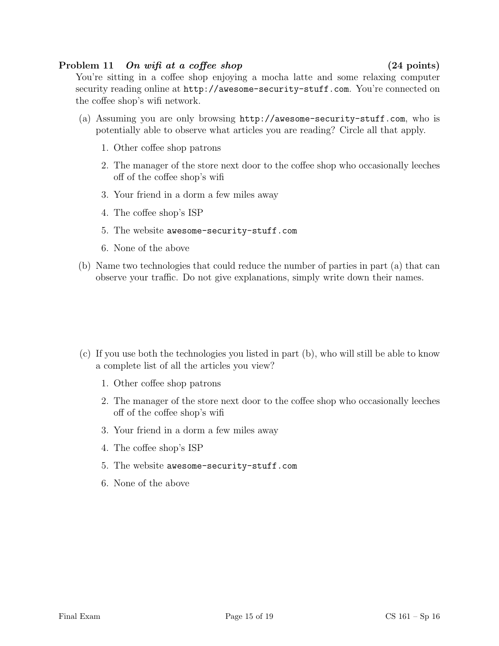### Problem 11 On wifi at a coffee shop (24 points)

You're sitting in a coffee shop enjoying a mocha latte and some relaxing computer security reading online at  $http://awesome-security-stuff.com. You're connected on$ the coffee shop's wifi network.

- (a) Assuming you are only browsing http://awesome-security-stuff.com, who is potentially able to observe what articles you are reading? Circle all that apply.
	- 1. Other coffee shop patrons
	- 2. The manager of the store next door to the coffee shop who occasionally leeches off of the coffee shop's wifi
	- 3. Your friend in a dorm a few miles away
	- 4. The coffee shop's ISP
	- 5. The website awesome-security-stuff.com
	- 6. None of the above
- (b) Name two technologies that could reduce the number of parties in part (a) that can observe your traffic. Do not give explanations, simply write down their names.

- (c) If you use both the technologies you listed in part (b), who will still be able to know a complete list of all the articles you view?
	- 1. Other coffee shop patrons
	- 2. The manager of the store next door to the coffee shop who occasionally leeches off of the coffee shop's wifi
	- 3. Your friend in a dorm a few miles away
	- 4. The coffee shop's ISP
	- 5. The website awesome-security-stuff.com
	- 6. None of the above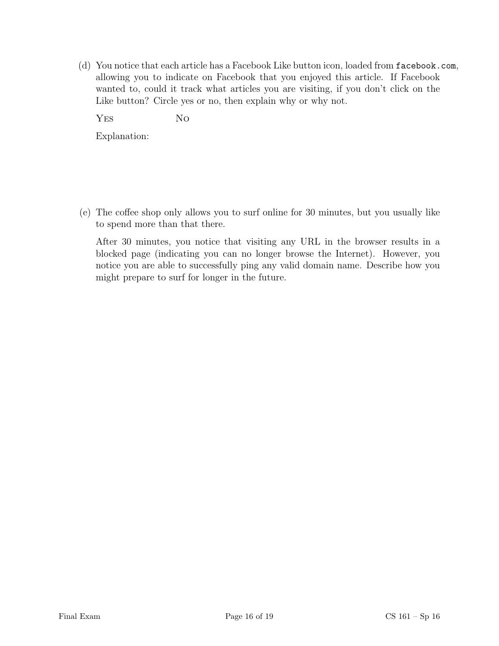(d) You notice that each article has a Facebook Like button icon, loaded from facebook.com, allowing you to indicate on Facebook that you enjoyed this article. If Facebook wanted to, could it track what articles you are visiting, if you don't click on the Like button? Circle yes or no, then explain why or why not.

YES No

Explanation:

(e) The coffee shop only allows you to surf online for 30 minutes, but you usually like to spend more than that there.

After 30 minutes, you notice that visiting any URL in the browser results in a blocked page (indicating you can no longer browse the Internet). However, you notice you are able to successfully ping any valid domain name. Describe how you might prepare to surf for longer in the future.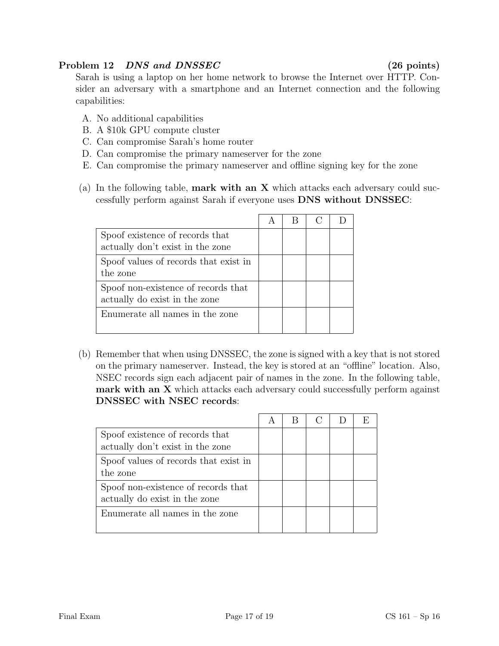# Problem 12 DNS and DNSSEC (26 points)

Sarah is using a laptop on her home network to browse the Internet over HTTP. Consider an adversary with a smartphone and an Internet connection and the following capabilities:

- A. No additional capabilities
- B. A \$10k GPU compute cluster
- C. Can compromise Sarah's home router
- D. Can compromise the primary nameserver for the zone
- E. Can compromise the primary nameserver and offline signing key for the zone
- (a) In the following table, **mark with an X** which attacks each adversary could successfully perform against Sarah if everyone uses DNS without DNSSEC:

| Spoof existence of records that       |  |  |
|---------------------------------------|--|--|
| actually don't exist in the zone      |  |  |
| Spoof values of records that exist in |  |  |
| the zone                              |  |  |
| Spoof non-existence of records that   |  |  |
| actually do exist in the zone         |  |  |
| Enumerate all names in the zone       |  |  |
|                                       |  |  |

(b) Remember that when using DNSSEC, the zone is signed with a key that is not stored on the primary nameserver. Instead, the key is stored at an "offline" location. Also, NSEC records sign each adjacent pair of names in the zone. In the following table, mark with an  $X$  which attacks each adversary could successfully perform against DNSSEC with NSEC records:

| Spoof existence of records that<br>actually don't exist in the zone  |  |  |  |
|----------------------------------------------------------------------|--|--|--|
| Spoof values of records that exist in<br>the zone                    |  |  |  |
| Spoof non-existence of records that<br>actually do exist in the zone |  |  |  |
| Enumerate all names in the zone                                      |  |  |  |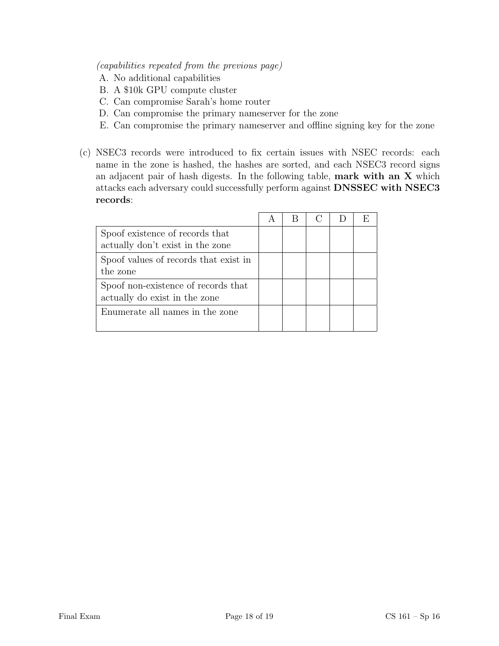### (capabilities repeated from the previous page)

- A. No additional capabilities
- B. A \$10k GPU compute cluster
- C. Can compromise Sarah's home router
- D. Can compromise the primary nameserver for the zone
- E. Can compromise the primary nameserver and offline signing key for the zone
- (c) NSEC3 records were introduced to fix certain issues with NSEC records: each name in the zone is hashed, the hashes are sorted, and each NSEC3 record signs an adjacent pair of hash digests. In the following table, mark with an X which attacks each adversary could successfully perform against DNSSEC with NSEC3 records:

| Spoof existence of records that       |  |  |  |
|---------------------------------------|--|--|--|
| actually don't exist in the zone      |  |  |  |
| Spoof values of records that exist in |  |  |  |
| the zone                              |  |  |  |
| Spoof non-existence of records that   |  |  |  |
| actually do exist in the zone         |  |  |  |
| Enumerate all names in the zone       |  |  |  |
|                                       |  |  |  |